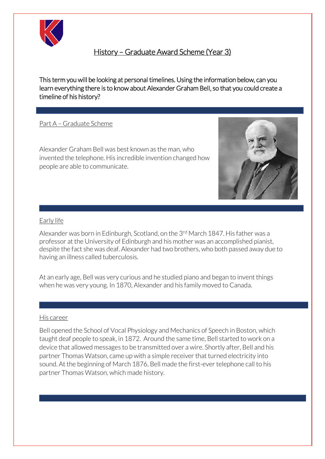

# History – Graduate Award Scheme (Year 3)

This term you will be looking at personal timelines. Using the information below, can you learn everything there is to know about Alexander Graham Bell, so that you could create a timeline of his history?

ׇ֚֞֡

## Part A – Graduate Scheme

Alexander Graham Bell was best known as the man, who invented the telephone. His incredible invention changed how people are able to communicate.



#### Early life

Alexander was born in Edinburgh, Scotland, on the 3<sup>rd</sup> March 1847. His father was a professor at the University of Edinburgh and his mother was an accomplished pianist, despite the fact she was deaf. Alexander had two brothers, who both passed away due to having an illness called tuberculosis.

At an early age, Bell was very curious and he studied piano and began to invent things when he was very young. In 1870, Alexander and his family moved to Canada.

#### His career

Bell opened the School of Vocal Physiology and Mechanics of Speech in Boston, which taught deaf people to speak, in 1872. Around the same time, Bell started to work on a device that allowed messages to be transmitted over a wire. Shortly after, Bell and his partner Thomas Watson, came up with a simple receiver that turned electricity into sound. At the beginning of March 1876, Bell made the first-ever telephone call to his partner Thomas Watson, which made history.